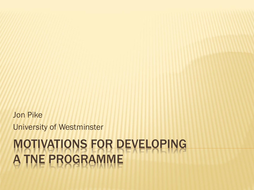#### MOTIVATIONS FOR DEVELOPING A TNE PROGRAMME

University of Westminster

Jon Pike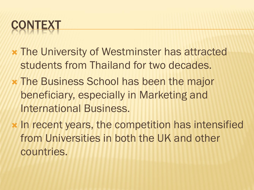#### **CONTEXT**

- The University of Westminster has attracted students from Thailand for two decades.
- The Business School has been the major beneficiary, especially in Marketing and International Business.
- **\* In recent years, the competition has intensified** from Universities in both the UK and other countries.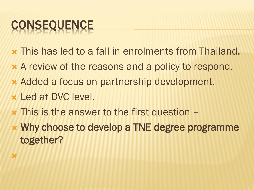## **CONSEQUENCE**

- This has led to a fall in enrolments from Thailand.
- A review of the reasons and a policy to respond.
- Added a focus on partnership development.
- Led at DVC level.

×

- This is the answer to the first question –
- Why choose to develop a TNE degree programme together?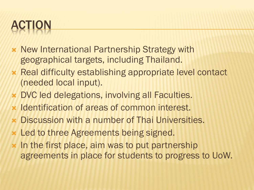### ACTION

- **\* New International Partnership Strategy with** geographical targets, including Thailand.
- Real difficulty establishing appropriate level contact (needed local input).
- DVC led delegations, involving all Faculties.
- **x** Identification of areas of common interest.
- Discussion with a number of Thai Universities.
- Led to three Agreements being signed.
- In the first place, aim was to put partnership agreements in place for students to progress to UoW.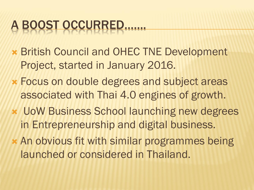## A BOOST OCCURRED…….

- British Council and OHEC TNE Development Project, started in January 2016.
- Focus on double degrees and subject areas associated with Thai 4.0 engines of growth.
- UoW Business School launching new degrees in Entrepreneurship and digital business.
- An obvious fit with similar programmes being launched or considered in Thailand.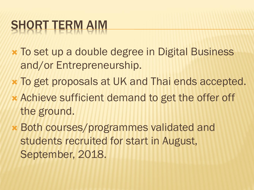## SHORT TERM AIM

- To set up a double degree in Digital Business and/or Entrepreneurship.
- To get proposals at UK and Thai ends accepted.
- Achieve sufficient demand to get the offer off the ground.
- Both courses/programmes validated and students recruited for start in August, September, 2018.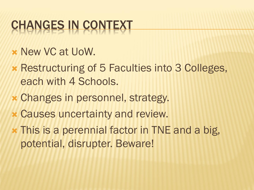### CHANGES IN CONTEXT

- **x New VC at UoW.**
- Restructuring of 5 Faculties into 3 Colleges, each with 4 Schools.
- Changes in personnel, strategy.
- Causes uncertainty and review.
- This is a perennial factor in TNE and a big, potential, disrupter. Beware!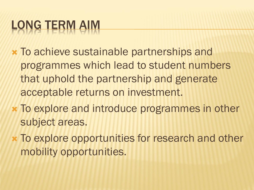# LONG TERM AIM

- To achieve sustainable partnerships and programmes which lead to student numbers that uphold the partnership and generate acceptable returns on investment.
- To explore and introduce programmes in other subject areas.
- To explore opportunities for research and other mobility opportunities.